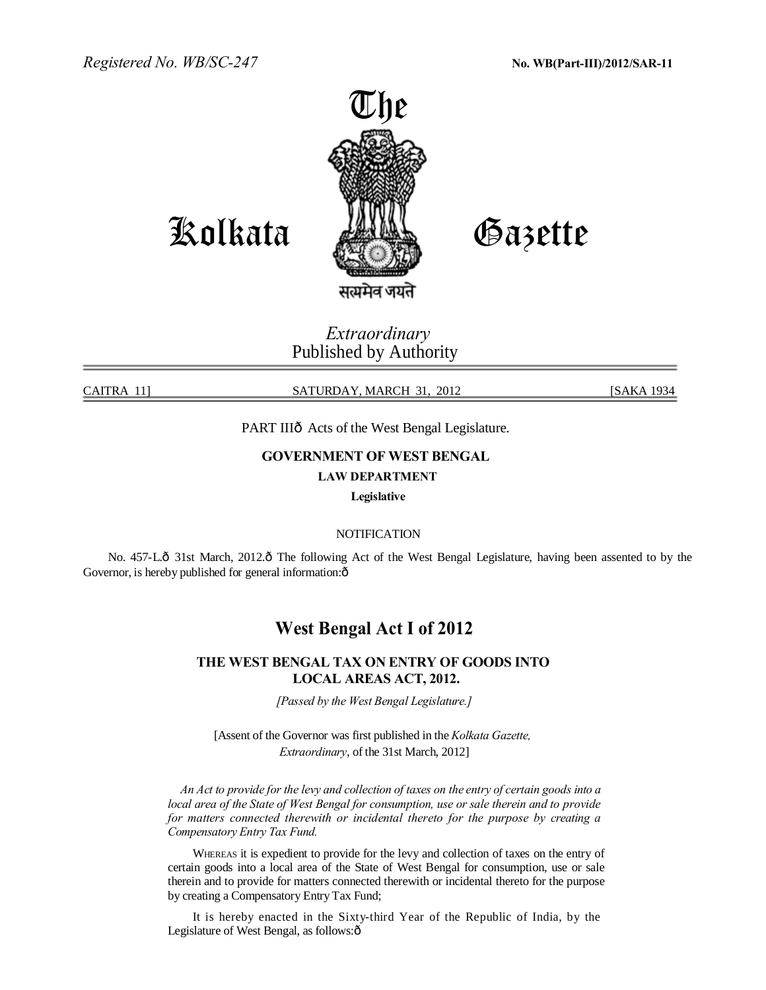*Registered No. WB/SC-247*



Kolkata

Gazette

*Extraordinary* Published by Authority

CAITRA 11] SATURDAY, MARCH 31, 2012 [SAKA 1934

# PART IIIô Acts of the West Bengal Legislature.

# **GOVERNMENT OF WEST BENGAL**

# **LAW DEPARTMENT**

**Legislative** 

# **NOTIFICATION**

No. 457-Lô 31st March, 2012.ô The following Act of the West Bengal Legislature, having been assented to by the Governor, is hereby published for general information: $\hat{o}$ 

# **West Bengal Act I of 2012**

# **THE WEST BENGAL TAX ON ENTRY OF GOODS INTO LOCAL AREAS ACT, 2012.**

*[Passed by the West Bengal Legislature.]* 

[Assent of the Governor was first published in the *Kolkata Gazette, Extraordinary*, of the 31st March, 2012]

*An Act to provide for the levy and collection of taxes on the entry of certain goods into a local area of the State of West Bengal for consumption, use or sale therein and to provide for matters connected therewith or incidental thereto for the purpose by creating a Compensatory Entry Tax Fund.* 

WHEREAS it is expedient to provide for the levy and collection of taxes on the entry of certain goods into a local area of the State of West Bengal for consumption, use or sale therein and to provide for matters connected therewith or incidental thereto for the purpose by creating a Compensatory Entry Tax Fund;

It is hereby enacted in the Sixty-third Year of the Republic of India, by the Legislature of West Bengal, as follows: $\hat{o}$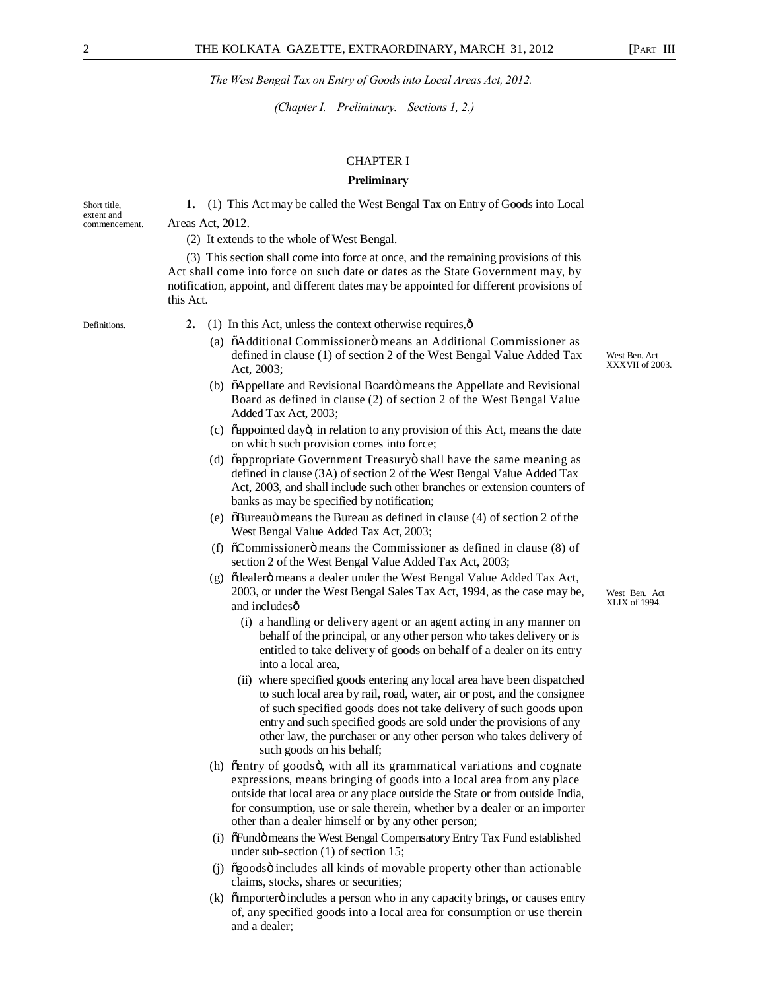*(Chapter I.—Preliminary.—Sections 1, 2.)* 

# CHAPTER I

#### **Preliminary**

Short title, **1.** (1) This Act may be called the West Bengal Tax on Entry of Goods into Local extent and<br>commencement. Areas Act, 2012.

(2) It extends to the whole of West Bengal.

(3) This section shall come into force at once, and the remaining provisions of this Act shall come into force on such date or dates as the State Government may, by notification, appoint, and different dates may be appointed for different provisions of this Act.

- Definitions. **2.** (1) In this Act, unless the context otherwise requires, $\hat{\text{o}}$ 
	- (a)  $\ddot{\text{o}}$ Additional Commissioner $\ddot{\text{o}}$  means an Additional Commissioner as defined in clause (1) of section 2 of the West Bengal Value Added Tax Act, 2003;
	- (b)  $\tilde{o}$ Appellate and Revisional Board $\ddot{o}$  means the Appellate and Revisional Board as defined in clause (2) of section 2 of the West Bengal Value Added Tax Act, 2003;
	- (c) "appointed day", in relation to any provision of this Act, means the date on which such provision comes into force;
	- (d) õappropriate Government Treasuryö shall have the same meaning as defined in clause (3A) of section 2 of the West Bengal Value Added Tax Act, 2003, and shall include such other branches or extension counters of banks as may be specified by notification;
	- (e)  $\delta$ Bureau $\ddot{o}$  means the Bureau as defined in clause (4) of section 2 of the West Bengal Value Added Tax Act, 2003;
	- (f)  $\tilde{\text{o}}$ Commissioner $\ddot{\text{o}}$  means the Commissioner as defined in clause (8) of section 2 of the West Bengal Value Added Tax Act, 2003;
	- (g) õdealerö means a dealer under the West Bengal Value Added Tax Act, 2003, or under the West Bengal Sales Tax Act, 1994, as the case may be, and includesô
		- (i) a handling or delivery agent or an agent acting in any manner on behalf of the principal, or any other person who takes delivery or is entitled to take delivery of goods on behalf of a dealer on its entry into a local area,
		- (ii) where specified goods entering any local area have been dispatched to such local area by rail, road, water, air or post, and the consignee of such specified goods does not take delivery of such goods upon entry and such specified goods are sold under the provisions of any other law, the purchaser or any other person who takes delivery of such goods on his behalf;
	- (h)  $\tilde{\text{centry}}$  of goods $\ddot{\text{o}}$ , with all its grammatical variations and cognate expressions, means bringing of goods into a local area from any place outside that local area or any place outside the State or from outside India, for consumption, use or sale therein, whether by a dealer or an importer other than a dealer himself or by any other person;
	- (i) öFundö means the West Bengal Compensatory Entry Tax Fund established under sub-section (1) of section 15;
	- (i)  $\tilde{\sigma}$  goods  $\ddot{\sigma}$  includes all kinds of movable property other than actionable claims, stocks, shares or securities;
	- (k) õimporterö includes a person who in any capacity brings, or causes entry of, any specified goods into a local area for consumption or use therein and a dealer;

West Ben. Act XLIX of 1994.

West Ben. Act XXXVII of 2003.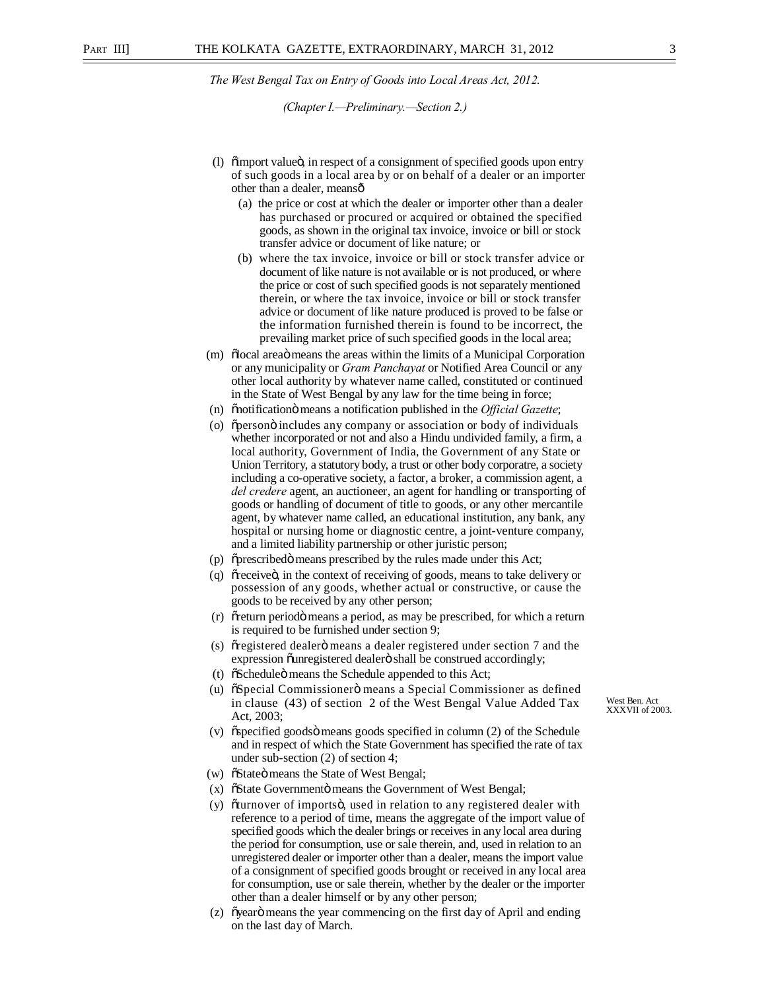*(Chapter I.—Preliminary.—Section 2.)*

- (1)  $\ddot{\text{o}}$  import value $\ddot{\text{o}}$ , in respect of a consignment of specified goods upon entry of such goods in a local area by or on behalf of a dealer or an importer other than a dealer, means—
	- (a) the price or cost at which the dealer or importer other than a dealer has purchased or procured or acquired or obtained the specified goods, as shown in the original tax invoice, invoice or bill or stock transfer advice or document of like nature; or
	- (b) where the tax invoice, invoice or bill or stock transfer advice or document of like nature is not available or is not produced, or where the price or cost of such specified goods is not separately mentioned therein, or where the tax invoice, invoice or bill or stock transfer advice or document of like nature produced is proved to be false or the information furnished therein is found to be incorrect, the prevailing market price of such specified goods in the local area;
- (m) "olocal area means the areas within the limits of a Municipal Corporation or any municipality or *Gram Panchayat* or Notified Area Council or any other local authority by whatever name called, constituted or continued in the State of West Bengal by any law for the time being in force;
- (n)  $\ddot{\text{o}}$  motification means a notification published in the *Official Gazette*;
- (o)  $\tilde{\sigma}$  operson $\tilde{\sigma}$  includes any company or association or body of individuals whether incorporated or not and also a Hindu undivided family, a firm, a local authority, Government of India, the Government of any State or Union Territory, a statutory body, a trust or other body corporatre, a society including a co-operative society, a factor, a broker, a commission agent, a *del credere* agent, an auctioneer, an agent for handling or transporting of goods or handling of document of title to goods, or any other mercantile agent, by whatever name called, an educational institution, any bank, any hospital or nursing home or diagnostic centre, a joint-venture company, and a limited liability partnership or other juristic person;
- (p) õprescribedö means prescribed by the rules made under this Act;
- (q) or receive  $\ddot{o}$ , in the context of receiving of goods, means to take delivery or possession of any goods, whether actual or constructive, or cause the goods to be received by any other person;
- (r) "oreturn periodo means a period, as may be prescribed, for which a return is required to be furnished under section 9;
- (s) or registered dealer is means a dealer registered under section 7 and the expression õunregistered dealerö shall be construed accordingly;
- (t) "Schedule" means the Schedule appended to this Act;
- (u) "Special Commissioner" means a Special Commissioner as defined in clause (43) of section 2 of the West Bengal Value Added Tax Act, 2003;
- $(v)$  "ospecified goods" means goods specified in column  $(2)$  of the Schedule and in respect of which the State Government has specified the rate of tax under sub-section (2) of section 4;
- (w)  $\tilde{\text{o}}$ State  $\ddot{\text{o}}$  means the State of West Bengal;
- (x)  $\tilde{\text{o}}$ State Governmentö means the Government of West Bengal;
- (y) oturnover of importso, used in relation to any registered dealer with reference to a period of time, means the aggregate of the import value of specified goods which the dealer brings or receives in any local area during the period for consumption, use or sale therein, and, used in relation to an unregistered dealer or importer other than a dealer, means the import value of a consignment of specified goods brought or received in any local area for consumption, use or sale therein, whether by the dealer or the importer other than a dealer himself or by any other person;
- (z) " öyearö means the year commencing on the first day of April and ending on the last day of March.

West Ben. Act XXXVII of 2003.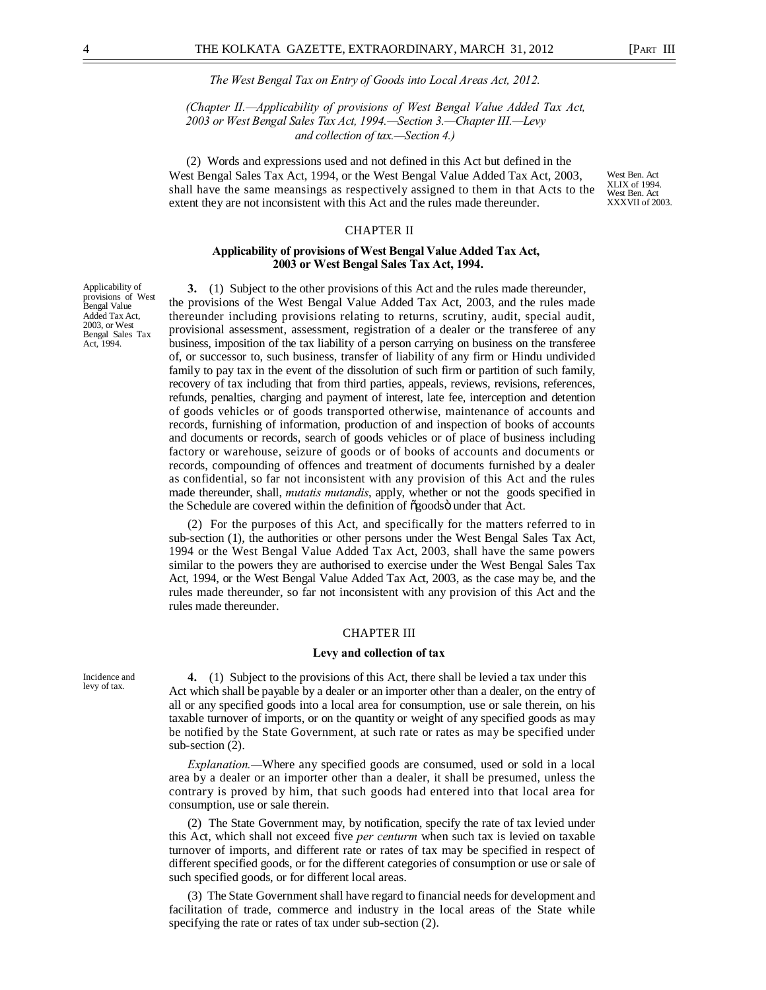*(Chapter II.—Applicability of provisions of West Bengal Value Added Tax Act, 2003 or West Bengal Sales Tax Act, 1994.—Section 3.—Chapter III.—Levy and collection of tax.—Section 4.)* 

(2) Words and expressions used and not defined in this Act but defined in the West Bengal Sales Tax Act, 1994, or the West Bengal Value Added Tax Act, 2003, shall have the same meansings as respectively assigned to them in that Acts to the extent they are not inconsistent with this Act and the rules made thereunder.

West Ben. Act XLIX of 1994. West Ben. Act XXXVII of 2003.

# CHAPTER II

#### **Applicability of provisions of West Bengal Value Added Tax Act, 2003 or West Bengal Sales Tax Act, 1994.**

**3.** (1) Subject to the other provisions of this Act and the rules made thereunder, the provisions of the West Bengal Value Added Tax Act, 2003, and the rules made thereunder including provisions relating to returns, scrutiny, audit, special audit, provisional assessment, assessment, registration of a dealer or the transferee of any business, imposition of the tax liability of a person carrying on business on the transferee of, or successor to, such business, transfer of liability of any firm or Hindu undivided family to pay tax in the event of the dissolution of such firm or partition of such family, recovery of tax including that from third parties, appeals, reviews, revisions, references, refunds, penalties, charging and payment of interest, late fee, interception and detention of goods vehicles or of goods transported otherwise, maintenance of accounts and records, furnishing of information, production of and inspection of books of accounts and documents or records, search of goods vehicles or of place of business including factory or warehouse, seizure of goods or of books of accounts and documents or records, compounding of offences and treatment of documents furnished by a dealer as confidential, so far not inconsistent with any provision of this Act and the rules made thereunder, shall, *mutatis mutandis*, apply, whether or not the goods specified in the Schedule are covered within the definition of  $\tilde{\sigma}$ goods under that Act.

(2) For the purposes of this Act, and specifically for the matters referred to in sub-section (1), the authorities or other persons under the West Bengal Sales Tax Act, 1994 or the West Bengal Value Added Tax Act, 2003, shall have the same powers similar to the powers they are authorised to exercise under the West Bengal Sales Tax Act, 1994, or the West Bengal Value Added Tax Act, 2003, as the case may be, and the rules made thereunder, so far not inconsistent with any provision of this Act and the rules made thereunder.

### CHAPTER III

#### **Levy and collection of tax**

Incidence and levy of tax.

**4.** (1) Subject to the provisions of this Act, there shall be levied a tax under this Act which shall be payable by a dealer or an importer other than a dealer, on the entry of all or any specified goods into a local area for consumption, use or sale therein, on his taxable turnover of imports, or on the quantity or weight of any specified goods as may be notified by the State Government, at such rate or rates as may be specified under sub-section (2).

*Explanation.—*Where any specified goods are consumed, used or sold in a local area by a dealer or an importer other than a dealer, it shall be presumed, unless the contrary is proved by him, that such goods had entered into that local area for consumption, use or sale therein.

(2) The State Government may, by notification, specify the rate of tax levied under this Act, which shall not exceed five *per centurm* when such tax is levied on taxable turnover of imports, and different rate or rates of tax may be specified in respect of different specified goods, or for the different categories of consumption or use or sale of such specified goods, or for different local areas.

(3) The State Government shall have regard to financial needs for development and facilitation of trade, commerce and industry in the local areas of the State while specifying the rate or rates of tax under sub-section (2).

Applicability of provisions of West Bengal Value Added Tax Act, 2003, or West Bengal Sales Tax Act, 1994.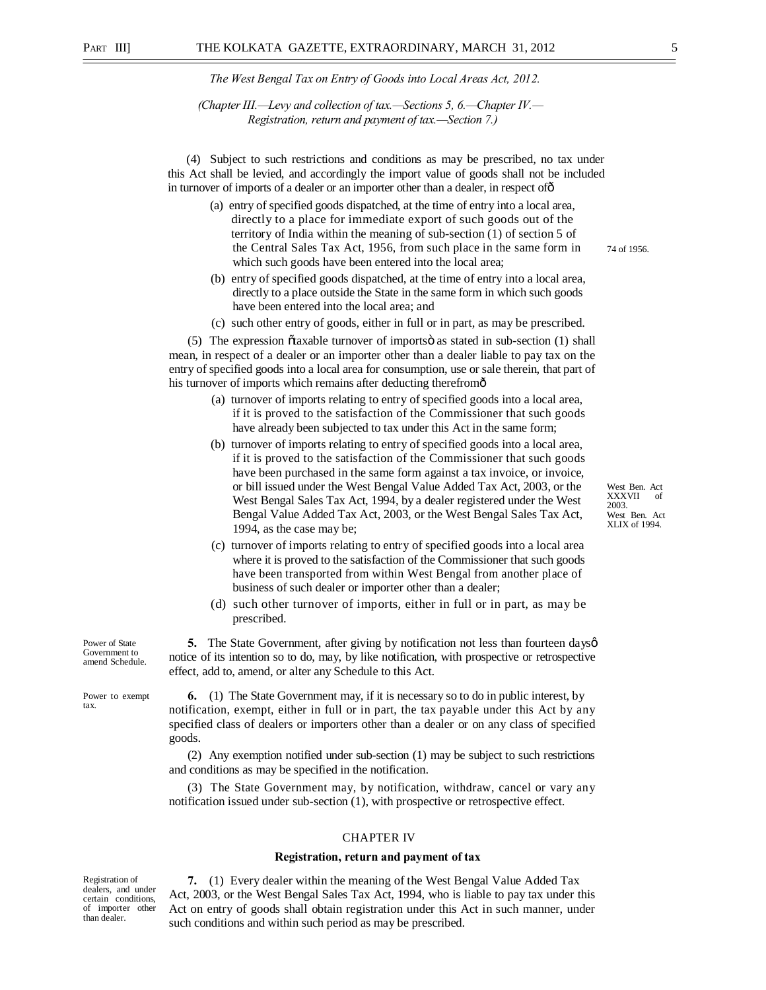*(Chapter III.—Levy and collection of tax.—Sections 5, 6.—Chapter IV.— Registration, return and payment of tax.—Section 7.)* 

(4) Subject to such restrictions and conditions as may be prescribed, no tax under this Act shall be levied, and accordingly the import value of goods shall not be included in turnover of imports of a dealer or an importer other than a dealer, in respect of  $\hat{0}$ 

- (a) entry of specified goods dispatched, at the time of entry into a local area, directly to a place for immediate export of such goods out of the territory of India within the meaning of sub-section (1) of section 5 of the Central Sales Tax Act, 1956, from such place in the same form in which such goods have been entered into the local area;
- (b) entry of specified goods dispatched, at the time of entry into a local area, directly to a place outside the State in the same form in which such goods have been entered into the local area; and
- (c) such other entry of goods, either in full or in part, as may be prescribed.

 $(5)$  The expression  $\tilde{\text{o}}$  taxable turnover of imports as stated in sub-section  $(1)$  shall mean, in respect of a dealer or an importer other than a dealer liable to pay tax on the entry of specified goods into a local area for consumption, use or sale therein, that part of his turnover of imports which remains after deducting therefromô

- (a) turnover of imports relating to entry of specified goods into a local area, if it is proved to the satisfaction of the Commissioner that such goods have already been subjected to tax under this Act in the same form;
- (b) turnover of imports relating to entry of specified goods into a local area, if it is proved to the satisfaction of the Commissioner that such goods have been purchased in the same form against a tax invoice, or invoice, or bill issued under the West Bengal Value Added Tax Act, 2003, or the West Bengal Sales Tax Act, 1994, by a dealer registered under the West Bengal Value Added Tax Act, 2003, or the West Bengal Sales Tax Act, 1994, as the case may be;

West Ben. Act XXXVII of 2003. West Ben. Act XLIX of 1994.

74 of 1956.

- (c) turnover of imports relating to entry of specified goods into a local area where it is proved to the satisfaction of the Commissioner that such goods have been transported from within West Bengal from another place of business of such dealer or importer other than a dealer;
- (d) such other turnover of imports, either in full or in part, as may be prescribed.

**5.** The State Government, after giving by notification not less than fourteen dayso notice of its intention so to do, may, by like notification, with prospective or retrospective effect, add to, amend, or alter any Schedule to this Act.

**6.** (1) The State Government may, if it is necessary so to do in public interest, by notification, exempt, either in full or in part, the tax payable under this Act by any specified class of dealers or importers other than a dealer or on any class of specified goods.

(2) Any exemption notified under sub-section (1) may be subject to such restrictions and conditions as may be specified in the notification.

(3) The State Government may, by notification, withdraw, cancel or vary any notification issued under sub-section (1), with prospective or retrospective effect.

#### CHAPTER IV

#### **Registration, return and payment of tax**

Registration of dealers, and under certain conditions, of importer other than dealer.

**7.** (1) Every dealer within the meaning of the West Bengal Value Added Tax Act, 2003, or the West Bengal Sales Tax Act, 1994, who is liable to pay tax under this Act on entry of goods shall obtain registration under this Act in such manner, under such conditions and within such period as may be prescribed.

Power of State Government to amend Schedule.

Power to exempt tax.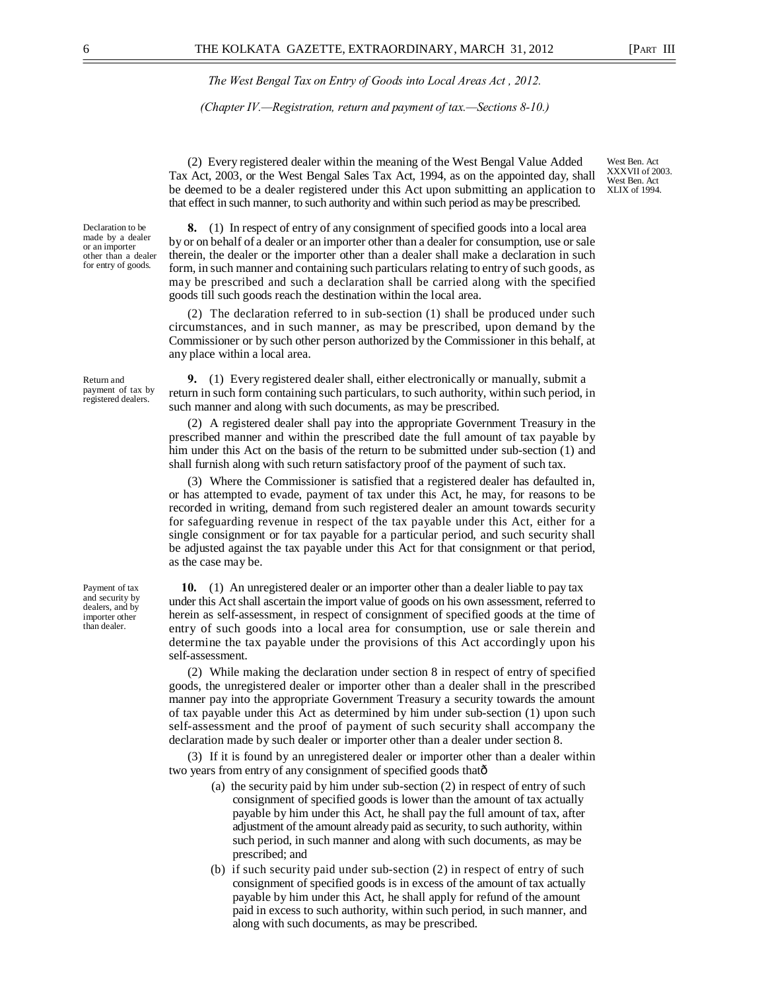*(Chapter IV.—Registration, return and payment of tax.—Sections 8-10.)*

(2) Every registered dealer within the meaning of the West Bengal Value Added Tax Act, 2003, or the West Bengal Sales Tax Act, 1994, as on the appointed day, shall be deemed to be a dealer registered under this Act upon submitting an application to that effect in such manner, to such authority and within such period as may be prescribed.

**8.** (1) In respect of entry of any consignment of specified goods into a local area by or on behalf of a dealer or an importer other than a dealer for consumption, use or sale therein, the dealer or the importer other than a dealer shall make a declaration in such form, in such manner and containing such particulars relating to entry of such goods, as may be prescribed and such a declaration shall be carried along with the specified goods till such goods reach the destination within the local area.

(2) The declaration referred to in sub-section (1) shall be produced under such circumstances, and in such manner, as may be prescribed, upon demand by the Commissioner or by such other person authorized by the Commissioner in this behalf, at any place within a local area.

**9.** (1) Every registered dealer shall, either electronically or manually, submit a return in such form containing such particulars, to such authority, within such period, in such manner and along with such documents, as may be prescribed.

(2) A registered dealer shall pay into the appropriate Government Treasury in the prescribed manner and within the prescribed date the full amount of tax payable by him under this Act on the basis of the return to be submitted under sub-section (1) and shall furnish along with such return satisfactory proof of the payment of such tax.

(3) Where the Commissioner is satisfied that a registered dealer has defaulted in, or has attempted to evade, payment of tax under this Act, he may, for reasons to be recorded in writing, demand from such registered dealer an amount towards security for safeguarding revenue in respect of the tax payable under this Act, either for a single consignment or for tax payable for a particular period, and such security shall be adjusted against the tax payable under this Act for that consignment or that period, as the case may be.

**10.** (1) An unregistered dealer or an importer other than a dealer liable to pay tax under this Act shall ascertain the import value of goods on his own assessment, referred to herein as self-assessment, in respect of consignment of specified goods at the time of entry of such goods into a local area for consumption, use or sale therein and determine the tax payable under the provisions of this Act accordingly upon his self-assessment.

(2) While making the declaration under section 8 in respect of entry of specified goods, the unregistered dealer or importer other than a dealer shall in the prescribed manner pay into the appropriate Government Treasury a security towards the amount of tax payable under this Act as determined by him under sub-section (1) upon such self-assessment and the proof of payment of such security shall accompany the declaration made by such dealer or importer other than a dealer under section 8.

(3) If it is found by an unregistered dealer or importer other than a dealer within two years from entry of any consignment of specified goods thatô

- (a) the security paid by him under sub-section (2) in respect of entry of such consignment of specified goods is lower than the amount of tax actually payable by him under this Act, he shall pay the full amount of tax, after adjustment of the amount already paid as security, to such authority, within such period, in such manner and along with such documents, as may be prescribed; and
- (b) if such security paid under sub-section (2) in respect of entry of such consignment of specified goods is in excess of the amount of tax actually payable by him under this Act, he shall apply for refund of the amount paid in excess to such authority, within such period, in such manner, and along with such documents, as may be prescribed.

Payment of tax and security by dealers, and by importer other than dealer.

XLIX of 1994.

Declaration to be made by a dealer or an importer other than a dealer for entry of goods.

> Return and payment of tax by registered dealers.

West Ben. Act XXXVII of 2003. West Ben. Act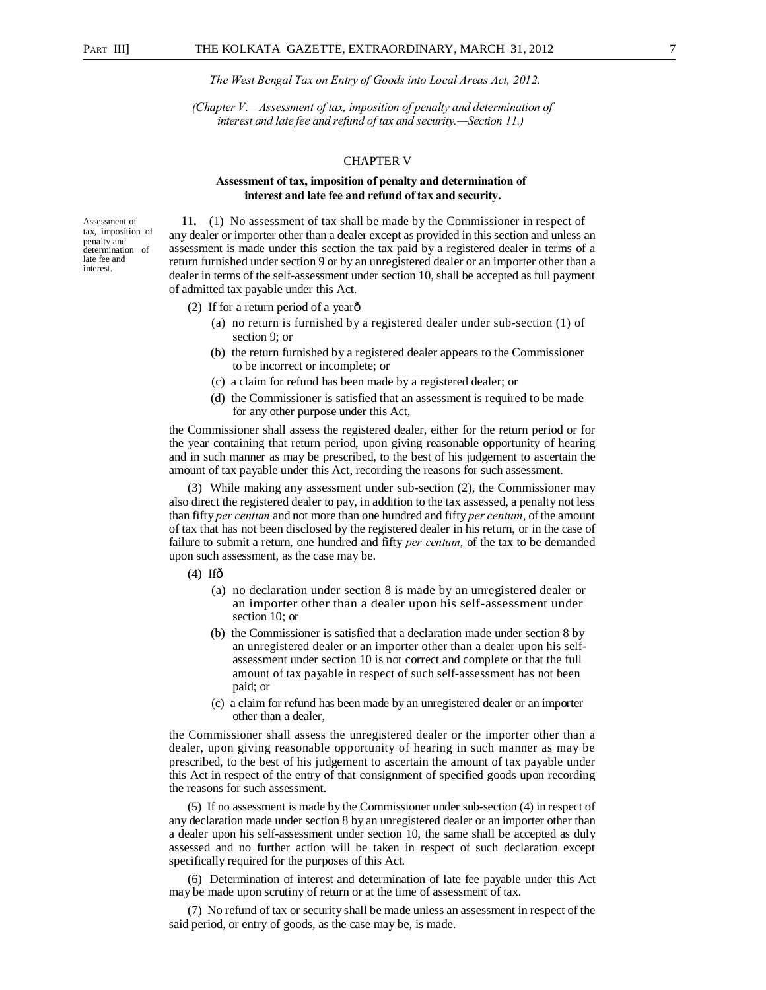*(Chapter V.—Assessment of tax, imposition of penalty and determination of interest and late fee and refund of tax and security.—Section 11.)* 

#### CHAPTER V

#### **Assessment of tax, imposition of penalty and determination of interest and late fee and refund of tax and security.**

Assessment of tax, imposition of penalty and determination late fee and interest.

**11.** (1) No assessment of tax shall be made by the Commissioner in respect of any dealer or importer other than a dealer except as provided in this section and unless an assessment is made under this section the tax paid by a registered dealer in terms of a return furnished under section 9 or by an unregistered dealer or an importer other than a dealer in terms of the self-assessment under section 10, shall be accepted as full payment of admitted tax payable under this Act.

- (2) If for a return period of a yearô
	- (a) no return is furnished by a registered dealer under sub-section (1) of section 9; or
	- (b) the return furnished by a registered dealer appears to the Commissioner to be incorrect or incomplete; or
	- (c) a claim for refund has been made by a registered dealer; or
	- (d) the Commissioner is satisfied that an assessment is required to be made for any other purpose under this Act,

the Commissioner shall assess the registered dealer, either for the return period or for the year containing that return period, upon giving reasonable opportunity of hearing and in such manner as may be prescribed, to the best of his judgement to ascertain the amount of tax payable under this Act, recording the reasons for such assessment.

(3) While making any assessment under sub-section (2), the Commissioner may also direct the registered dealer to pay, in addition to the tax assessed, a penalty not less than fifty *per centum* and not more than one hundred and fifty *per centum*, of the amount of tax that has not been disclosed by the registered dealer in his return, or in the case of failure to submit a return, one hundred and fifty *per centum*, of the tax to be demanded upon such assessment, as the case may be.

 $(4)$  Ifô

- (a) no declaration under section 8 is made by an unregistered dealer or an importer other than a dealer upon his self-assessment under section 10; or
- (b) the Commissioner is satisfied that a declaration made under section 8 by an unregistered dealer or an importer other than a dealer upon his selfassessment under section 10 is not correct and complete or that the full amount of tax payable in respect of such self-assessment has not been paid; or
- (c) a claim for refund has been made by an unregistered dealer or an importer other than a dealer,

the Commissioner shall assess the unregistered dealer or the importer other than a dealer, upon giving reasonable opportunity of hearing in such manner as may be prescribed, to the best of his judgement to ascertain the amount of tax payable under this Act in respect of the entry of that consignment of specified goods upon recording the reasons for such assessment.

(5) If no assessment is made by the Commissioner under sub-section (4) in respect of any declaration made under section 8 by an unregistered dealer or an importer other than a dealer upon his self-assessment under section 10, the same shall be accepted as duly assessed and no further action will be taken in respect of such declaration except specifically required for the purposes of this Act.

(6) Determination of interest and determination of late fee payable under this Act may be made upon scrutiny of return or at the time of assessment of tax.

(7) No refund of tax or security shall be made unless an assessment in respect of the said period, or entry of goods, as the case may be, is made.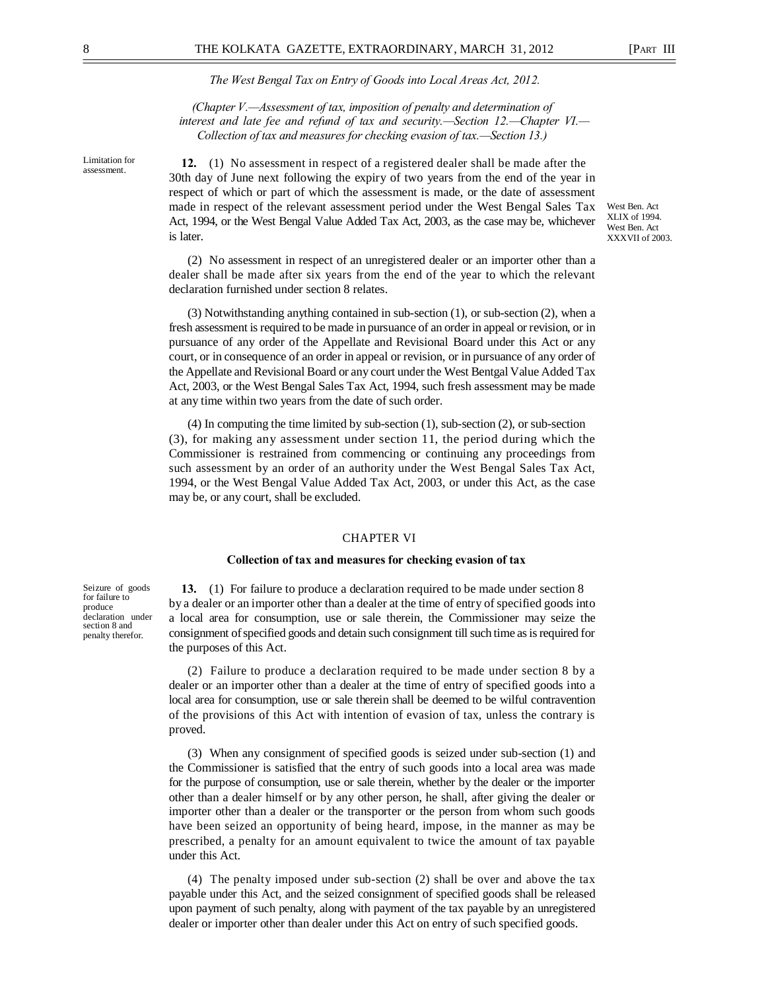West Ben. Act XLIX of 1994. West Ben. Act XXXVII of 2003.

*The West Bengal Tax on Entry of Goods into Local Areas Act, 2012.* 

*(Chapter V.—Assessment of tax, imposition of penalty and determination of interest and late fee and refund of tax and security.—Section 12.—Chapter VI.— Collection of tax and measures for checking evasion of tax.—Section 13.)*

Limitation for assessment.

**12.** (1) No assessment in respect of a registered dealer shall be made after the 30th day of June next following the expiry of two years from the end of the year in respect of which or part of which the assessment is made, or the date of assessment made in respect of the relevant assessment period under the West Bengal Sales Tax Act, 1994, or the West Bengal Value Added Tax Act, 2003, as the case may be, whichever is later.

(2) No assessment in respect of an unregistered dealer or an importer other than a dealer shall be made after six years from the end of the year to which the relevant declaration furnished under section 8 relates.

(3) Notwithstanding anything contained in sub-section (1), or sub-section (2), when a fresh assessment is required to be made in pursuance of an order in appeal or revision, or in pursuance of any order of the Appellate and Revisional Board under this Act or any court, or in consequence of an order in appeal or revision, or in pursuance of any order of the Appellate and Revisional Board or any court under the West Bentgal Value Added Tax Act, 2003, or the West Bengal Sales Tax Act, 1994, such fresh assessment may be made at any time within two years from the date of such order.

(4) In computing the time limited by sub-section (1), sub-section (2), or sub-section (3), for making any assessment under section 11, the period during which the Commissioner is restrained from commencing or continuing any proceedings from such assessment by an order of an authority under the West Bengal Sales Tax Act, 1994, or the West Bengal Value Added Tax Act, 2003, or under this Act, as the case may be, or any court, shall be excluded.

#### CHAPTER VI

#### **Collection of tax and measures for checking evasion of tax**

**13.** (1) For failure to produce a declaration required to be made under section 8 by a dealer or an importer other than a dealer at the time of entry of specified goods into a local area for consumption, use or sale therein, the Commissioner may seize the consignment of specified goods and detain such consignment till such time as is required for the purposes of this Act.

(2) Failure to produce a declaration required to be made under section 8 by a dealer or an importer other than a dealer at the time of entry of specified goods into a local area for consumption, use or sale therein shall be deemed to be wilful contravention of the provisions of this Act with intention of evasion of tax, unless the contrary is proved.

(3) When any consignment of specified goods is seized under sub-section (1) and the Commissioner is satisfied that the entry of such goods into a local area was made for the purpose of consumption, use or sale therein, whether by the dealer or the importer other than a dealer himself or by any other person, he shall, after giving the dealer or importer other than a dealer or the transporter or the person from whom such goods have been seized an opportunity of being heard, impose, in the manner as may be prescribed, a penalty for an amount equivalent to twice the amount of tax payable under this Act.

(4) The penalty imposed under sub-section (2) shall be over and above the tax payable under this Act, and the seized consignment of specified goods shall be released upon payment of such penalty, along with payment of the tax payable by an unregistered dealer or importer other than dealer under this Act on entry of such specified goods.

Seizure of goods for failure to produce declaration under section 8 and penalty therefor.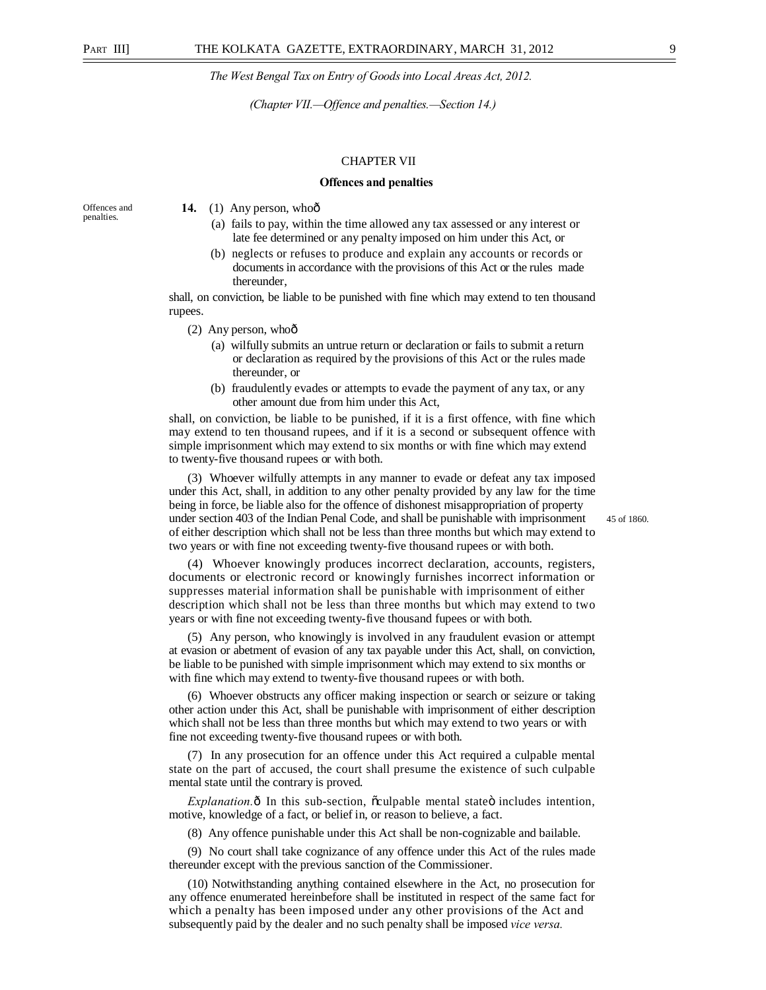*(Chapter VII.—Offence and penalties.—Section 14.)* 

#### CHAPTER VII

#### **Offences and penalties**

Offences and penalties.

#### **14.** (1) Any person, whoô

- (a) fails to pay, within the time allowed any tax assessed or any interest or late fee determined or any penalty imposed on him under this Act, or
- (b) neglects or refuses to produce and explain any accounts or records or documents in accordance with the provisions of this Act or the rules made thereunder,

shall, on conviction, be liable to be punished with fine which may extend to ten thousand rupees.

- $(2)$  Any person, whoô
	- (a) wilfully submits an untrue return or declaration or fails to submit a return or declaration as required by the provisions of this Act or the rules made thereunder, or
	- (b) fraudulently evades or attempts to evade the payment of any tax, or any other amount due from him under this Act,

shall, on conviction, be liable to be punished, if it is a first offence, with fine which may extend to ten thousand rupees, and if it is a second or subsequent offence with simple imprisonment which may extend to six months or with fine which may extend to twenty-five thousand rupees or with both.

(3) Whoever wilfully attempts in any manner to evade or defeat any tax imposed under this Act, shall, in addition to any other penalty provided by any law for the time being in force, be liable also for the offence of dishonest misappropriation of property under section 403 of the Indian Penal Code, and shall be punishable with imprisonment 45 of 1860. of either description which shall not be less than three months but which may extend to two years or with fine not exceeding twenty-five thousand rupees or with both.

(4) Whoever knowingly produces incorrect declaration, accounts, registers, documents or electronic record or knowingly furnishes incorrect information or suppresses material information shall be punishable with imprisonment of either description which shall not be less than three months but which may extend to two years or with fine not exceeding twenty-five thousand fupees or with both.

(5) Any person, who knowingly is involved in any fraudulent evasion or attempt at evasion or abetment of evasion of any tax payable under this Act, shall, on conviction, be liable to be punished with simple imprisonment which may extend to six months or with fine which may extend to twenty-five thousand rupees or with both.

(6) Whoever obstructs any officer making inspection or search or seizure or taking other action under this Act, shall be punishable with imprisonment of either description which shall not be less than three months but which may extend to two years or with fine not exceeding twenty-five thousand rupees or with both.

(7) In any prosecution for an offence under this Act required a culpable mental state on the part of accused, the court shall presume the existence of such culpable mental state until the contrary is proved.

*Explanation.*  $\hat{\theta}$  In this sub-section,  $\tilde{\theta}$  culpable mental state  $\ddot{\theta}$  includes intention, motive, knowledge of a fact, or belief in, or reason to believe, a fact.

(8) Any offence punishable under this Act shall be non-cognizable and bailable.

(9) No court shall take cognizance of any offence under this Act of the rules made thereunder except with the previous sanction of the Commissioner.

(10) Notwithstanding anything contained elsewhere in the Act, no prosecution for any offence enumerated hereinbefore shall be instituted in respect of the same fact for which a penalty has been imposed under any other provisions of the Act and subsequently paid by the dealer and no such penalty shall be imposed *vice versa.*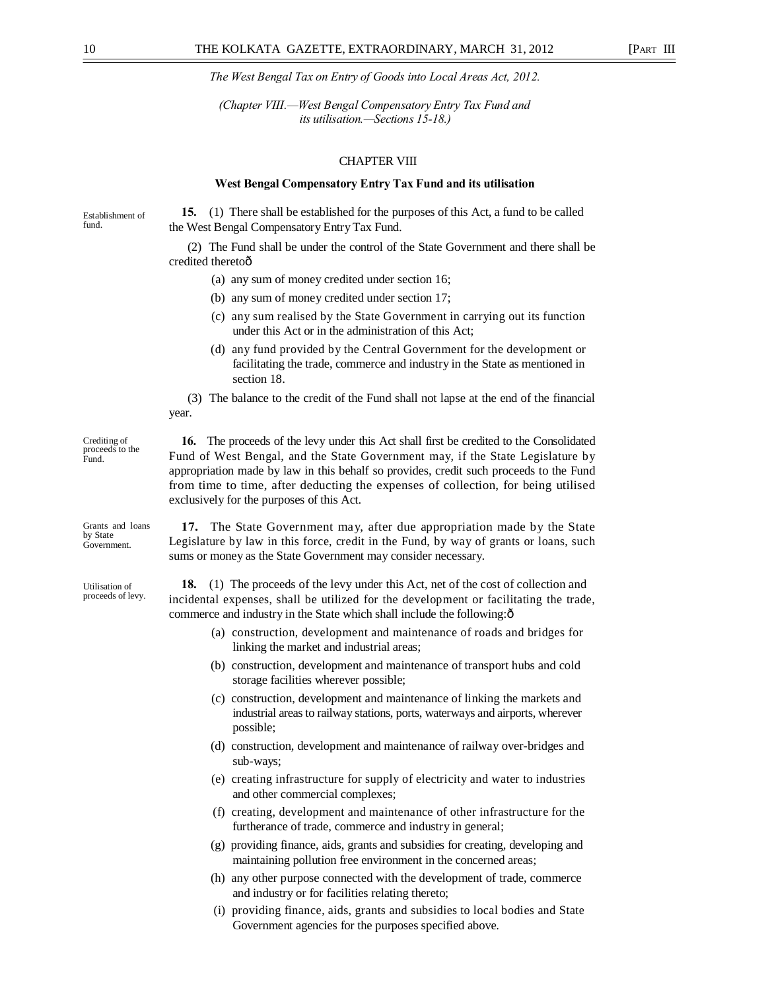*(Chapter VIII.—West Bengal Compensatory Entry Tax Fund and its utilisation.—Sections 15-18.)* 

### CHAPTER VIII

#### **West Bengal Compensatory Entry Tax Fund and its utilisation**

Establishment of fund.

**15.** (1) There shall be established for the purposes of this Act, a fund to be called the West Bengal Compensatory Entry Tax Fund.

(2) The Fund shall be under the control of the State Government and there shall be credited theretoô

- (a) any sum of money credited under section 16;
- (b) any sum of money credited under section 17;
- (c) any sum realised by the State Government in carrying out its function under this Act or in the administration of this Act;
- (d) any fund provided by the Central Government for the development or facilitating the trade, commerce and industry in the State as mentioned in section 18.
- (3) The balance to the credit of the Fund shall not lapse at the end of the financial year.

Crediting of proceeds to the Fund.

Grants and loans by State Government.

Utilisation of proceeds of levy.

**16.** The proceeds of the levy under this Act shall first be credited to the Consolidated Fund of West Bengal, and the State Government may, if the State Legislature by appropriation made by law in this behalf so provides, credit such proceeds to the Fund from time to time, after deducting the expenses of collection, for being utilised exclusively for the purposes of this Act.

**17.** The State Government may, after due appropriation made by the State Legislature by law in this force, credit in the Fund, by way of grants or loans, such sums or money as the State Government may consider necessary.

**18.** (1) The proceeds of the levy under this Act, net of the cost of collection and incidental expenses, shall be utilized for the development or facilitating the trade, commerce and industry in the State which shall include the following: $\hat{o}$ 

- (a) construction, development and maintenance of roads and bridges for linking the market and industrial areas;
- (b) construction, development and maintenance of transport hubs and cold storage facilities wherever possible;
- (c) construction, development and maintenance of linking the markets and industrial areas to railway stations, ports, waterways and airports, wherever possible;
- (d) construction, development and maintenance of railway over-bridges and sub-ways;
- (e) creating infrastructure for supply of electricity and water to industries and other commercial complexes;
- (f) creating, development and maintenance of other infrastructure for the furtherance of trade, commerce and industry in general;
- (g) providing finance, aids, grants and subsidies for creating, developing and maintaining pollution free environment in the concerned areas;
- (h) any other purpose connected with the development of trade, commerce and industry or for facilities relating thereto;
- (i) providing finance, aids, grants and subsidies to local bodies and State Government agencies for the purposes specified above.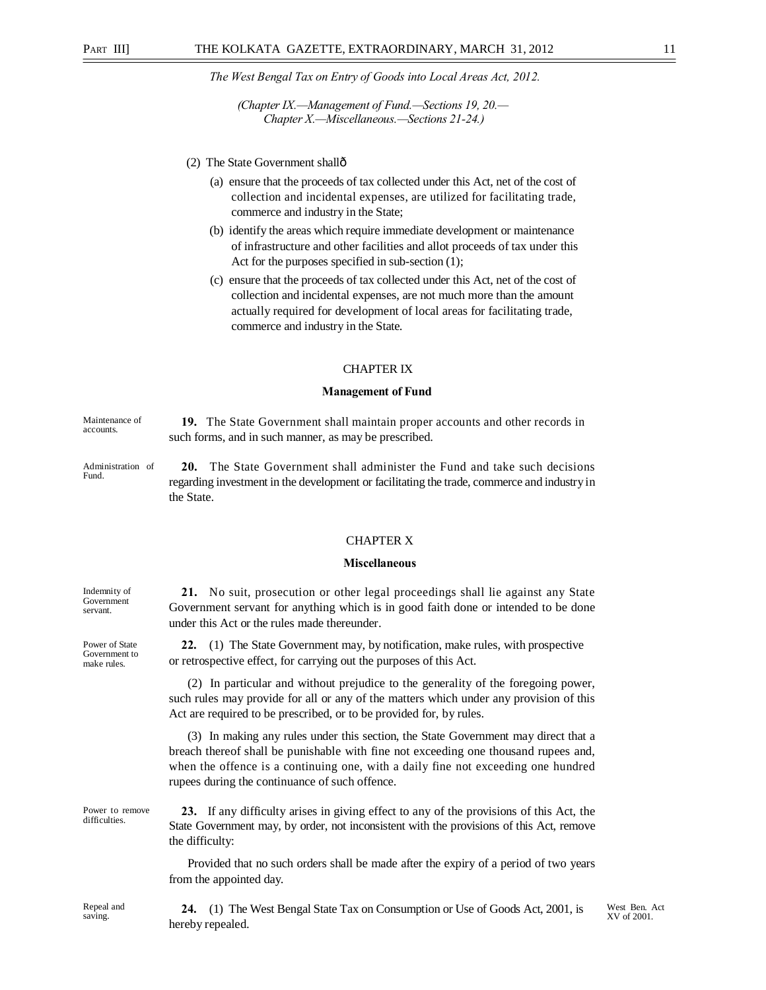*(Chapter IX.—Management of Fund.—Sections 19, 20.— Chapter X.—Miscellaneous.—Sections 21-24.)* 

- (2) The State Government shallô
	- (a) ensure that the proceeds of tax collected under this Act, net of the cost of collection and incidental expenses, are utilized for facilitating trade, commerce and industry in the State;
	- (b) identify the areas which require immediate development or maintenance of infrastructure and other facilities and allot proceeds of tax under this Act for the purposes specified in sub-section (1);
	- (c) ensure that the proceeds of tax collected under this Act, net of the cost of collection and incidental expenses, are not much more than the amount actually required for development of local areas for facilitating trade, commerce and industry in the State.

#### CHAPTER IX

#### **Management of Fund**

Maintenance of accounts. **19.** The State Government shall maintain proper accounts and other records in such forms, and in such manner, as may be prescribed.

Administration of Fund. **20.** The State Government shall administer the Fund and take such decisions regarding investment in the development or facilitating the trade, commerce and industry in the State.

#### CHAPTER X

#### **Miscellaneous**

**21.** No suit, prosecution or other legal proceedings shall lie against any State Government servant for anything which is in good faith done or intended to be done under this Act or the rules made thereunder.

**22.** (1) The State Government may, by notification, make rules, with prospective or retrospective effect, for carrying out the purposes of this Act.

(2) In particular and without prejudice to the generality of the foregoing power, such rules may provide for all or any of the matters which under any provision of this Act are required to be prescribed, or to be provided for, by rules.

(3) In making any rules under this section, the State Government may direct that a breach thereof shall be punishable with fine not exceeding one thousand rupees and, when the offence is a continuing one, with a daily fine not exceeding one hundred rupees during the continuance of such offence.

**23.** If any difficulty arises in giving effect to any of the provisions of this Act, the State Government may, by order, not inconsistent with the provisions of this Act, remove the difficulty:

Provided that no such orders shall be made after the expiry of a period of two years from the appointed day.

Indemnity of Government servant.

Power of State Government to make rules.

Power to remove difficulties.

> **24.** (1) The West Bengal State Tax on Consumption or Use of Goods Act, 2001, is hereby repealed.

West Ben. Act XV of 2001.